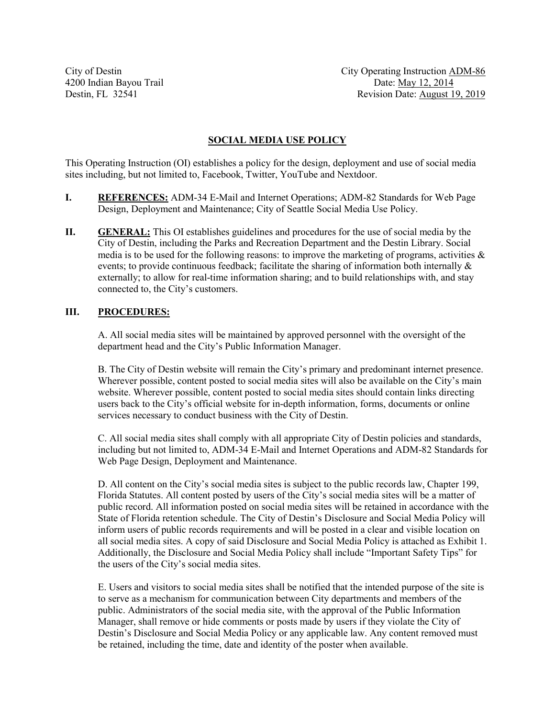City of Destin City Operating Instruction ADM-86 4200 Indian Bayou Trail Date: May 12, 2014 Destin, FL 32541 Revision Date: August 19, 2019

#### **SOCIAL MEDIA USE POLICY**

This Operating Instruction (OI) establishes a policy for the design, deployment and use of social media sites including, but not limited to, Facebook, Twitter, YouTube and Nextdoor.

- **I. REFERENCES:** ADM-34 E-Mail and Internet Operations; ADM-82 Standards for Web Page Design, Deployment and Maintenance; City of Seattle Social Media Use Policy.
- **II. GENERAL:** This OI establishes guidelines and procedures for the use of social media by the City of Destin, including the Parks and Recreation Department and the Destin Library. Social media is to be used for the following reasons: to improve the marketing of programs, activities  $\&$ events; to provide continuous feedback; facilitate the sharing of information both internally  $\&$ externally; to allow for real-time information sharing; and to build relationships with, and stay connected to, the City's customers.

#### **III. PROCEDURES:**

A. All social media sites will be maintained by approved personnel with the oversight of the department head and the City's Public Information Manager.

B. The City of Destin website will remain the City's primary and predominant internet presence. Wherever possible, content posted to social media sites will also be available on the City's main website. Wherever possible, content posted to social media sites should contain links directing users back to the City's official website for in-depth information, forms, documents or online services necessary to conduct business with the City of Destin.

C. All social media sites shall comply with all appropriate City of Destin policies and standards, including but not limited to, ADM-34 E-Mail and Internet Operations and ADM-82 Standards for Web Page Design, Deployment and Maintenance.

D. All content on the City's social media sites is subject to the public records law, Chapter 199, Florida Statutes. All content posted by users of the City's social media sites will be a matter of public record. All information posted on social media sites will be retained in accordance with the State of Florida retention schedule. The City of Destin's Disclosure and Social Media Policy will inform users of public records requirements and will be posted in a clear and visible location on all social media sites. A copy of said Disclosure and Social Media Policy is attached as Exhibit 1. Additionally, the Disclosure and Social Media Policy shall include "Important Safety Tips" for the users of the City's social media sites.

E. Users and visitors to social media sites shall be notified that the intended purpose of the site is to serve as a mechanism for communication between City departments and members of the public. Administrators of the social media site, with the approval of the Public Information Manager, shall remove or hide comments or posts made by users if they violate the City of Destin's Disclosure and Social Media Policy or any applicable law. Any content removed must be retained, including the time, date and identity of the poster when available.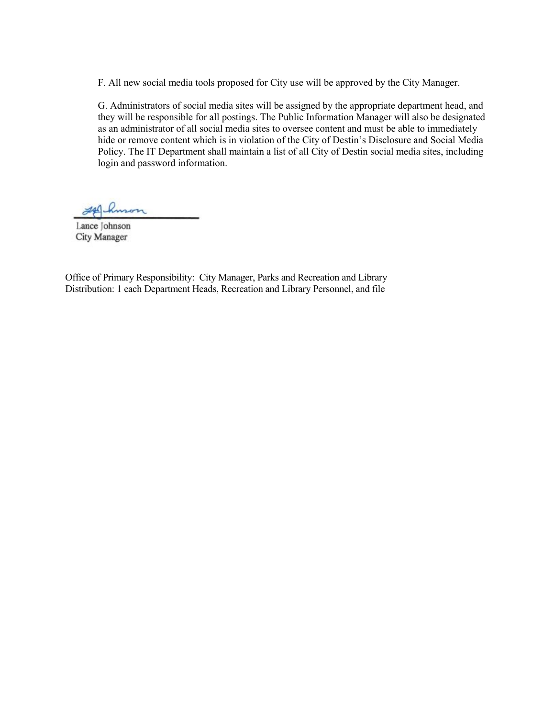F. All new social media tools proposed for City use will be approved by the City Manager.

G. Administrators of social media sites will be assigned by the appropriate department head, and they will be responsible for all postings. The Public Information Manager will also be designated as an administrator of all social media sites to oversee content and must be able to immediately hide or remove content which is in violation of the City of Destin's Disclosure and Social Media Policy. The IT Department shall maintain a list of all City of Destin social media sites, including login and password information.

 $740$ huson

Lance Johnson City Manager

Office of Primary Responsibility: City Manager, Parks and Recreation and Library Distribution: 1 each Department Heads, Recreation and Library Personnel, and file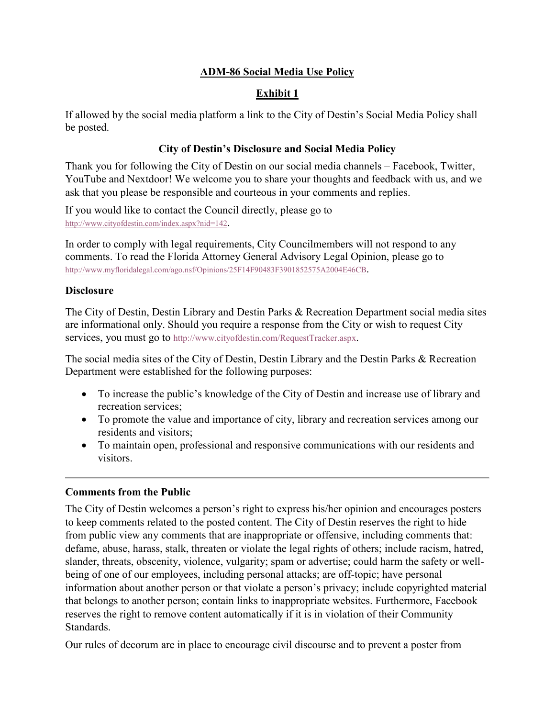# **ADM-86 Social Media Use Policy**

# **Exhibit 1**

If allowed by the social media platform a link to the City of Destin's Social Media Policy shall be posted.

## **City of Destin's Disclosure and Social Media Policy**

Thank you for following the City of Destin on our social media channels – Facebook, Twitter, YouTube and Nextdoor! We welcome you to share your thoughts and feedback with us, and we ask that you please be responsible and courteous in your comments and replies.

If you would like to contact the Council directly, please go to [http://www.cityofdestin.com/index.aspx?nid=142.](http://www.cityofdestin.com/index.aspx?nid=142)

In order to comply with legal requirements, City Councilmembers will not respond to any comments. To read the Florida Attorney General Advisory Legal Opinion, please go to [http://www.myfloridalegal.com/ago.nsf/Opinions/25F14F90483F3901852575A2004E46CB.](http://www.myfloridalegal.com/ago.nsf/Opinions/25F14F90483F3901852575A2004E46CB)

## **Disclosure**

The City of Destin, Destin Library and Destin Parks & Recreation Department social media sites are informational only. Should you require a response from the City or wish to request City services, you must go to [http://www.cityofdestin.com/RequestTracker.aspx.](http://www.cityofdestin.com/RequestTracker.aspx)

The social media sites of the City of Destin, Destin Library and the Destin Parks & Recreation Department were established for the following purposes:

- To increase the public's knowledge of the City of Destin and increase use of library and recreation services;
- To promote the value and importance of city, library and recreation services among our residents and visitors;
- To maintain open, professional and responsive communications with our residents and visitors.

## **Comments from the Public**

The City of Destin welcomes a person's right to express his/her opinion and encourages posters to keep comments related to the posted content. The City of Destin reserves the right to hide from public view any comments that are inappropriate or offensive, including comments that: defame, abuse, harass, stalk, threaten or violate the legal rights of others; include racism, hatred, slander, threats, obscenity, violence, vulgarity; spam or advertise; could harm the safety or wellbeing of one of our employees, including personal attacks; are off-topic; have personal information about another person or that violate a person's privacy; include copyrighted material that belongs to another person; contain links to inappropriate websites. Furthermore, Facebook reserves the right to remove content automatically if it is in violation of their Community Standards.

Our rules of decorum are in place to encourage civil discourse and to prevent a poster from